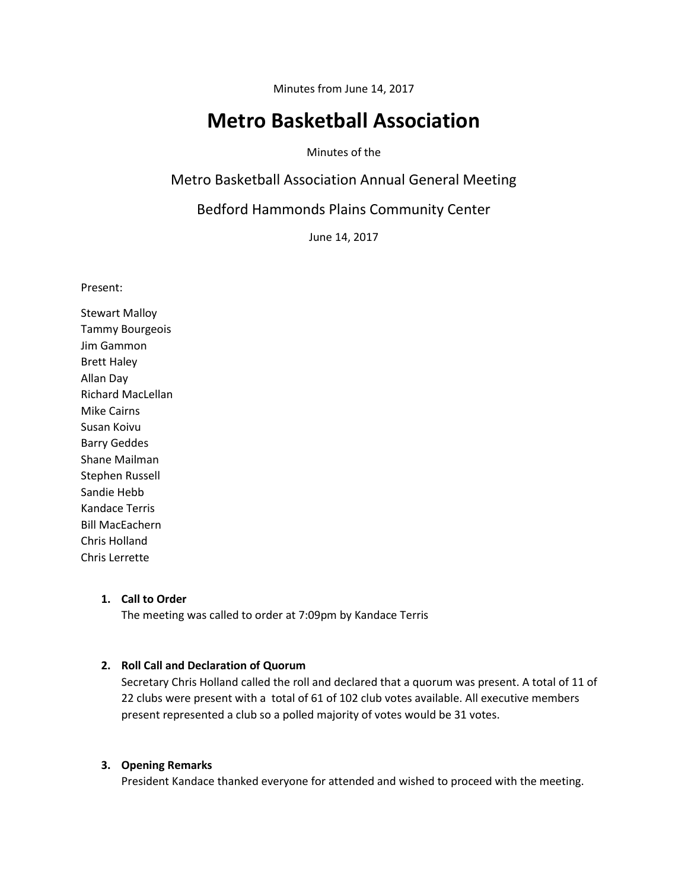Minutes from June 14, 2017

# **Metro Basketball Association**

Minutes of the

Metro Basketball Association Annual General Meeting

Bedford Hammonds Plains Community Center

June 14, 2017

Present:

Stewart Malloy Tammy Bourgeois Jim Gammon Brett Haley Allan Day Richard MacLellan Mike Cairns Susan Koivu Barry Geddes Shane Mailman Stephen Russell Sandie Hebb Kandace Terris Bill MacEachern Chris Holland Chris Lerrette

## **1. Call to Order**

The meeting was called to order at 7:09pm by Kandace Terris

# **2. Roll Call and Declaration of Quorum**

Secretary Chris Holland called the roll and declared that a quorum was present. A total of 11 of 22 clubs were present with a total of 61 of 102 club votes available. All executive members present represented a club so a polled majority of votes would be 31 votes.

## **3. Opening Remarks**

President Kandace thanked everyone for attended and wished to proceed with the meeting.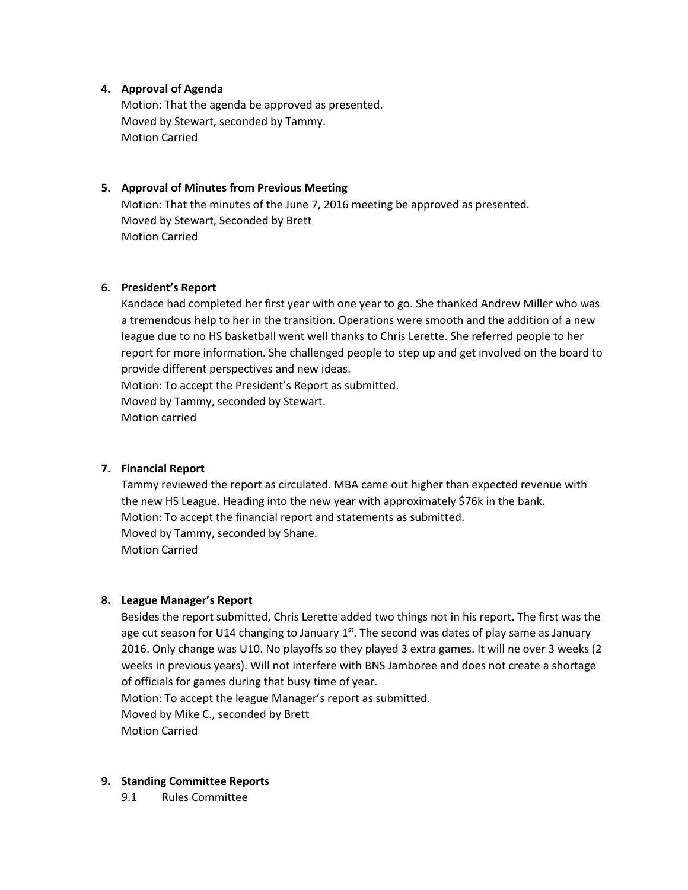# **4. Approval of Agenda**

Motion: That the agenda be approved as presented. Moved by Stewart, seconded by Tammy. Motion Carried

## **5. Approval of Minutes from Previous Meeting**

Motion: That the minutes of the June 7, 2016 meeting be approved as presented. Moved by Stewart, Seconded by Brett Motion Carried

### **6. President's Report**

Kandace had completed her first year with one year to go. She thanked Andrew Miller who was a tremendous help to her in the transition. Operations were smooth and the addition of a new league due to no HS basketball went well thanks to Chris Lerette. She referred people to her report for more information. She challenged people to step up and get involved on the board to provide different perspectives and new ideas. Motion: To accept the President's Report as submitted. Moved by Tammy, seconded by Stewart.

Motion carried

#### **7. Financial Report**

Tammy reviewed the report as circulated. MBA came out higher than expected revenue with the new HS League. Heading into the new year with approximately \$76k in the bank. Motion: To accept the financial report and statements as submitted. Moved by Tammy, seconded by Shane. Motion Carried

#### **8. League Manager's Report**

Besides the report submitted, Chris Lerette added two things not in his report. The first was the age cut season for U14 changing to January  $1<sup>st</sup>$ . The second was dates of play same as January 2016. Only change was U10. No playoffs so they played 3 extra games. It will ne over 3 weeks (2 weeks in previous years). Will not interfere with BNS Jamboree and does not create a shortage of officials for games during that busy time of year. Motion: To accept the league Manager's report as submitted.

Moved by Mike C., seconded by Brett Motion Carried

**9. Standing Committee Reports**

9.1 Rules Committee